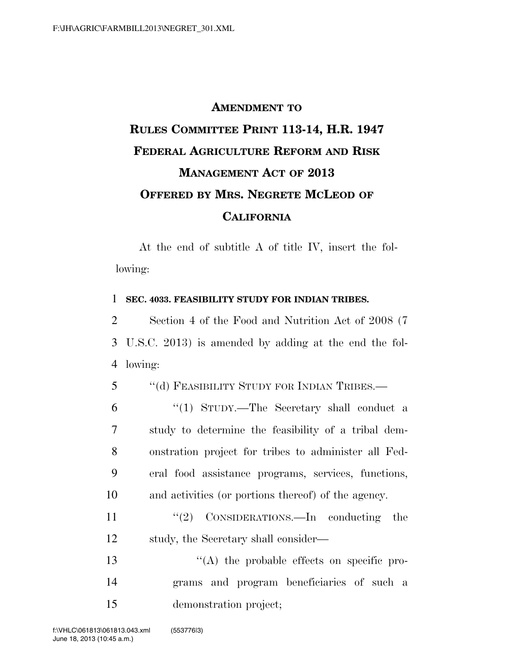## **AMENDMENT TO RULES COMMITTEE PRINT 113-14, H.R. 1947 FEDERAL AGRICULTURE REFORM AND RISK MANAGEMENT ACT OF 2013 OFFERED BY MRS. NEGRETE MCLEOD OF CALIFORNIA**

At the end of subtitle A of title IV, insert the following:

## 1 **SEC. 4033. FEASIBILITY STUDY FOR INDIAN TRIBES.**

2 Section 4 of the Food and Nutrition Act of 2008 (7 3 U.S.C. 2013) is amended by adding at the end the fol-4 lowing:

5 "(d) FEASIBILITY STUDY FOR INDIAN TRIBES.—

 ''(1) STUDY.—The Secretary shall conduct a study to determine the feasibility of a tribal dem- onstration project for tribes to administer all Fed- eral food assistance programs, services, functions, and activities (or portions thereof) of the agency.

11 ''(2) CONSIDERATIONS.—In conducting the 12 study, the Secretary shall consider—

13  $\langle (A)$  the probable effects on specific pro-14 grams and program beneficiaries of such a 15 demonstration project;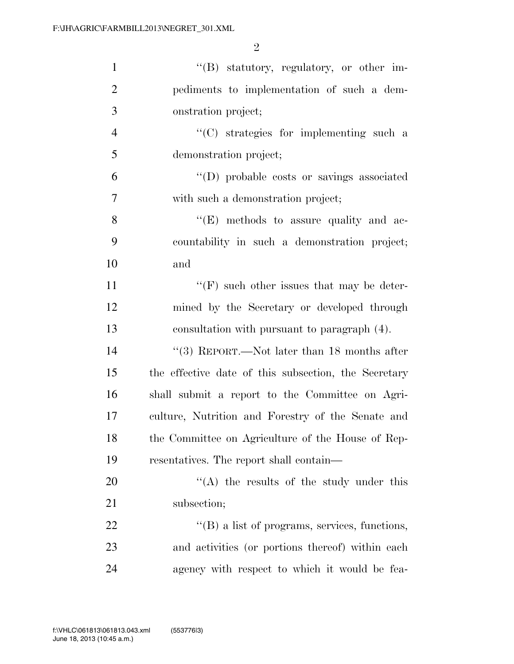| $\mathbf{1}$   | "(B) statutory, regulatory, or other im-             |
|----------------|------------------------------------------------------|
| $\overline{2}$ | pediments to implementation of such a dem-           |
| 3              | onstration project;                                  |
| $\overline{4}$ | "(C) strategies for implementing such a              |
| 5              | demonstration project;                               |
| 6              | "(D) probable costs or savings associated            |
| 7              | with such a demonstration project;                   |
| 8              | $\lq\lq(E)$ methods to assure quality and ac-        |
| 9              | countability in such a demonstration project;        |
| 10             | and                                                  |
| 11             | $\lq\lq(F)$ such other issues that may be deter-     |
| 12             | mined by the Secretary or developed through          |
| 13             | consultation with pursuant to paragraph (4).         |
| 14             | $``(3)$ REPORT.—Not later than 18 months after       |
| 15             | the effective date of this subsection, the Secretary |
| 16             | shall submit a report to the Committee on Agri-      |
| 17             | culture, Nutrition and Forestry of the Senate and    |
| 18             | the Committee on Agriculture of the House of Rep-    |
| 19             | resentatives. The report shall contain—              |
| 20             | "(A) the results of the study under this             |
| 21             | subsection;                                          |
| 22             | "(B) a list of programs, services, functions,        |
| 23             | and activities (or portions thereof) within each     |
| 24             | agency with respect to which it would be fea-        |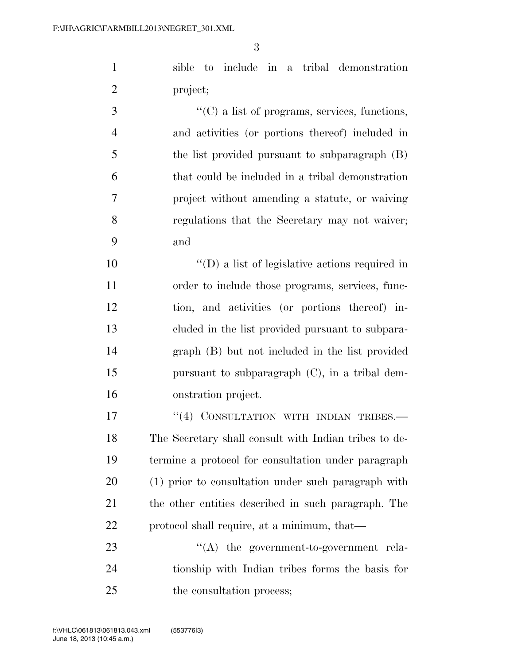sible to include in a tribal demonstration project;

 ''(C) a list of programs, services, functions, and activities (or portions thereof) included in the list provided pursuant to subparagraph (B) that could be included in a tribal demonstration project without amending a statute, or waiving regulations that the Secretary may not waiver; and

 ''(D) a list of legislative actions required in order to include those programs, services, func- tion, and activities (or portions thereof) in- cluded in the list provided pursuant to subpara- graph (B) but not included in the list provided pursuant to subparagraph (C), in a tribal dem-onstration project.

17 "(4) CONSULTATION WITH INDIAN TRIBES. The Secretary shall consult with Indian tribes to de- termine a protocol for consultation under paragraph (1) prior to consultation under such paragraph with the other entities described in such paragraph. The protocol shall require, at a minimum, that—

23  $\cdot$  (A) the government-to-government rela- tionship with Indian tribes forms the basis for 25 the consultation process;